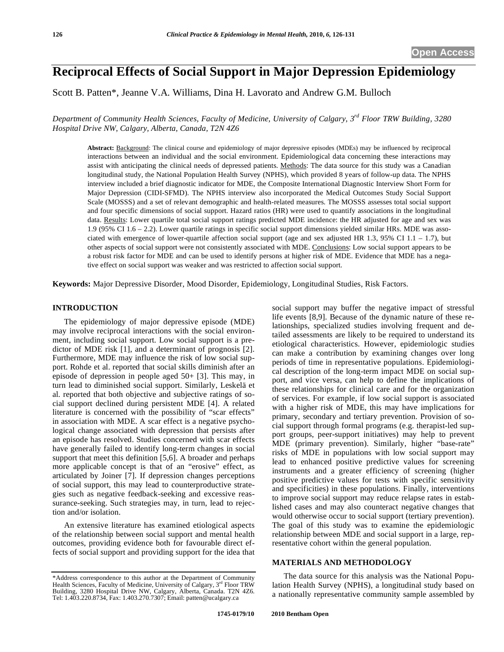# **Reciprocal Effects of Social Support in Major Depression Epidemiology**

Scott B. Patten\*, Jeanne V.A. Williams, Dina H. Lavorato and Andrew G.M. Bulloch

*Department of Community Health Sciences, Faculty of Medicine, University of Calgary, 3rd Floor TRW Building, 3280 Hospital Drive NW, Calgary, Alberta, Canada, T2N 4Z6* 

**Abstract:** Background: The clinical course and epidemiology of major depressive episodes (MDEs) may be influenced by reciprocal interactions between an individual and the social environment. Epidemiological data concerning these interactions may assist with anticipating the clinical needs of depressed patients. Methods: The data source for this study was a Canadian longitudinal study, the National Population Health Survey (NPHS), which provided 8 years of follow-up data. The NPHS interview included a brief diagnostic indicator for MDE, the Composite International Diagnostic Interview Short Form for Major Depression (CIDI-SFMD). The NPHS interview also incorporated the Medical Outcomes Study Social Support Scale (MOSSS) and a set of relevant demographic and health-related measures. The MOSSS assesses total social support and four specific dimensions of social support. Hazard ratios (HR) were used to quantify associations in the longitudinal data. Results: Lower quartile total social support ratings predicted MDE incidence: the HR adjusted for age and sex was 1.9 (95% CI 1.6 – 2.2). Lower quartile ratings in specific social support dimensions yielded similar HRs. MDE was associated with emergence of lower-quartile affection social support (age and sex adjusted HR 1.3, 95% CI 1.1 – 1.7), but other aspects of social support were not consistently associated with MDE. Conclusions: Low social support appears to be a robust risk factor for MDE and can be used to identify persons at higher risk of MDE. Evidence that MDE has a negative effect on social support was weaker and was restricted to affection social support.

**Keywords:** Major Depressive Disorder, Mood Disorder, Epidemiology, Longitudinal Studies, Risk Factors.

# **INTRODUCTION**

The epidemiology of major depressive episode (MDE) may involve reciprocal interactions with the social environment, including social support. Low social support is a predictor of MDE risk [1], and a determinant of prognosis [2]. Furthermore, MDE may influence the risk of low social support. Rohde et al. reported that social skills diminish after an episode of depression in people aged 50+ [3]. This may, in turn lead to diminished social support. Similarly, Leskelä et al. reported that both objective and subjective ratings of social support declined during persistent MDE [4]. A related literature is concerned with the possibility of "scar effects" in association with MDE. A scar effect is a negative psychological change associated with depression that persists after an episode has resolved. Studies concerned with scar effects have generally failed to identify long-term changes in social support that meet this definition [5,6]. A broader and perhaps more applicable concept is that of an "erosive" effect, as articulated by Joiner [7]. If depression changes perceptions of social support, this may lead to counterproductive strategies such as negative feedback-seeking and excessive reassurance-seeking. Such strategies may, in turn, lead to rejection and/or isolation.

An extensive literature has examined etiological aspects of the relationship between social support and mental health outcomes, providing evidence both for favourable direct effects of social support and providing support for the idea that social support may buffer the negative impact of stressful life events [8,9]. Because of the dynamic nature of these relationships, specialized studies involving frequent and detailed assessments are likely to be required to understand its etiological characteristics. However, epidemiologic studies can make a contribution by examining changes over long periods of time in representative populations. Epidemiological description of the long-term impact MDE on social support, and vice versa, can help to define the implications of these relationships for clinical care and for the organization of services. For example, if low social support is associated with a higher risk of MDE, this may have implications for primary, secondary and tertiary prevention. Provision of social support through formal programs (e.g. therapist-led support groups, peer-support initiatives) may help to prevent MDE (primary prevention). Similarly, higher "base-rate" risks of MDE in populations with low social support may lead to enhanced positive predictive values for screening instruments and a greater efficiency of screening (higher positive predictive values for tests with specific sensitivity and specificities) in these populations. Finally, interventions to improve social support may reduce relapse rates in established cases and may also counteract negative changes that would otherwise occur to social support (tertiary prevention). The goal of this study was to examine the epidemiologic relationship between MDE and social support in a large, representative cohort within the general population.

# **MATERIALS AND METHODOLOGY**

The data source for this analysis was the National Population Health Survey (NPHS), a longitudinal study based on a nationally representative community sample assembled by

<sup>\*</sup>Address correspondence to this author at the Department of Community Health Sciences, Faculty of Medicine, University of Calgary, 3rd Floor TRW Building, 3280 Hospital Drive NW, Calgary, Alberta, Canada. T2N 4Z6. Tel: 1.403.220.8734, Fax: 1.403.270.7307; Email: patten@ucalgary.ca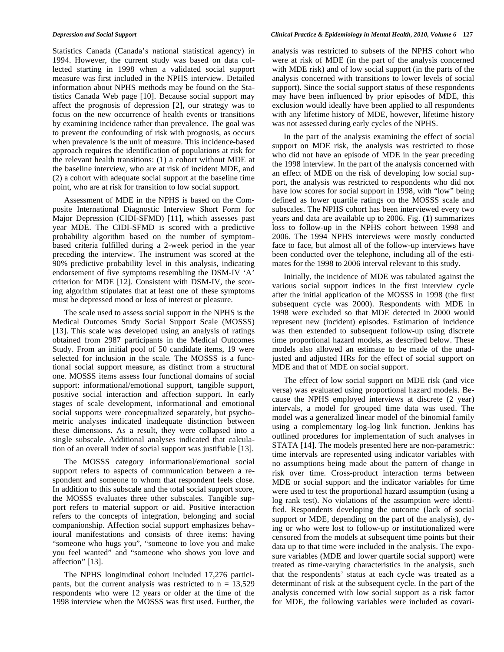Statistics Canada (Canada's national statistical agency) in 1994. However, the current study was based on data collected starting in 1998 when a validated social support measure was first included in the NPHS interview. Detailed information about NPHS methods may be found on the Statistics Canada Web page [10]. Because social support may affect the prognosis of depression [2], our strategy was to focus on the new occurrence of health events or transitions by examining incidence rather than prevalence. The goal was to prevent the confounding of risk with prognosis, as occurs when prevalence is the unit of measure. This incidence-based approach requires the identification of populations at risk for the relevant health transitions: (1) a cohort without MDE at the baseline interview, who are at risk of incident MDE, and (2) a cohort with adequate social support at the baseline time point, who are at risk for transition to low social support.

Assessment of MDE in the NPHS is based on the Composite International Diagnostic Interview Short Form for Major Depression (CIDI-SFMD) [11], which assesses past year MDE. The CIDI-SFMD is scored with a predictive probability algorithm based on the number of symptombased criteria fulfilled during a 2-week period in the year preceding the interview. The instrument was scored at the 90% predictive probability level in this analysis, indicating endorsement of five symptoms resembling the DSM-IV 'A' criterion for MDE [12]. Consistent with DSM-IV, the scoring algorithm stipulates that at least one of these symptoms must be depressed mood or loss of interest or pleasure.

The scale used to assess social support in the NPHS is the Medical Outcomes Study Social Support Scale (MOSSS) [13]. This scale was developed using an analysis of ratings obtained from 2987 participants in the Medical Outcomes Study. From an initial pool of 50 candidate items, 19 were selected for inclusion in the scale. The MOSSS is a functional social support measure, as distinct from a structural one. MOSSS items assess four functional domains of social support: informational/emotional support, tangible support, positive social interaction and affection support. In early stages of scale development, informational and emotional social supports were conceptualized separately, but psychometric analyses indicated inadequate distinction between these dimensions. As a result, they were collapsed into a single subscale. Additional analyses indicated that calculation of an overall index of social support was justifiable [13].

The MOSSS category informational/emotional social support refers to aspects of communication between a respondent and someone to whom that respondent feels close. In addition to this subscale and the total social support score, the MOSSS evaluates three other subscales. Tangible support refers to material support or aid. Positive interaction refers to the concepts of integration, belonging and social companionship. Affection social support emphasizes behavioural manifestations and consists of three items: having "someone who hugs you", "someone to love you and make you feel wanted" and "someone who shows you love and affection" [13].

The NPHS longitudinal cohort included 17,276 participants, but the current analysis was restricted to  $n = 13,529$ respondents who were 12 years or older at the time of the 1998 interview when the MOSSS was first used. Further, the

# *Depression and Social Support Clinical Practice & Epidemiology in Mental Health, 2010, Volume 6* **127**

analysis was restricted to subsets of the NPHS cohort who were at risk of MDE (in the part of the analysis concerned with MDE risk) and of low social support (in the parts of the analysis concerned with transitions to lower levels of social support). Since the social support status of these respondents may have been influenced by prior episodes of MDE, this exclusion would ideally have been applied to all respondents with any lifetime history of MDE, however, lifetime history was not assessed during early cycles of the NPHS.

In the part of the analysis examining the effect of social support on MDE risk, the analysis was restricted to those who did not have an episode of MDE in the year preceding the 1998 interview. In the part of the analysis concerned with an effect of MDE on the risk of developing low social support, the analysis was restricted to respondents who did not have low scores for social support in 1998, with "low" being defined as lower quartile ratings on the MOSSS scale and subscales. The NPHS cohort has been interviewed every two years and data are available up to 2006. Fig. (**1**) summarizes loss to follow-up in the NPHS cohort between 1998 and 2006. The 1994 NPHS interviews were mostly conducted face to face, but almost all of the follow-up interviews have been conducted over the telephone, including all of the estimates for the 1998 to 2006 interval relevant to this study.

Initially, the incidence of MDE was tabulated against the various social support indices in the first interview cycle after the initial application of the MOSSS in 1998 (the first subsequent cycle was 2000). Respondents with MDE in 1998 were excluded so that MDE detected in 2000 would represent new (incident) episodes. Estimation of incidence was then extended to subsequent follow-up using discrete time proportional hazard models, as described below. These models also allowed an estimate to be made of the unadjusted and adjusted HRs for the effect of social support on MDE and that of MDE on social support.

The effect of low social support on MDE risk (and vice versa) was evaluated using proportional hazard models. Because the NPHS employed interviews at discrete (2 year) intervals, a model for grouped time data was used. The model was a generalized linear model of the binomial family using a complementary log-log link function. Jenkins has outlined procedures for implementation of such analyses in STATA [14]. The models presented here are non-parametric: time intervals are represented using indicator variables with no assumptions being made about the pattern of change in risk over time. Cross-product interaction terms between MDE or social support and the indicator variables for time were used to test the proportional hazard assumption (using a log rank test). No violations of the assumption were identified. Respondents developing the outcome (lack of social support or MDE, depending on the part of the analysis), dying or who were lost to follow-up or institutionalized were censored from the models at subsequent time points but their data up to that time were included in the analysis. The exposure variables (MDE and lower quartile social support) were treated as time-varying characteristics in the analysis, such that the respondents' status at each cycle was treated as a determinant of risk at the subsequent cycle. In the part of the analysis concerned with low social support as a risk factor for MDE, the following variables were included as covari-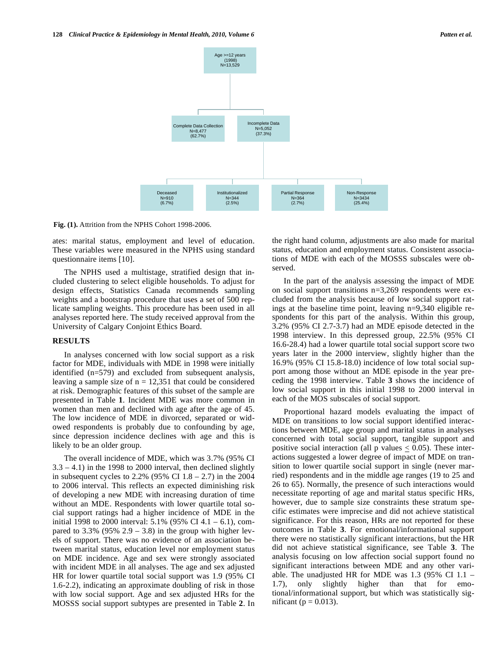

**Fig. (1).** Attrition from the NPHS Cohort 1998-2006.

ates: marital status, employment and level of education. These variables were measured in the NPHS using standard questionnaire items [10].

The NPHS used a multistage, stratified design that included clustering to select eligible households. To adjust for design effects, Statistics Canada recommends sampling weights and a bootstrap procedure that uses a set of 500 replicate sampling weights. This procedure has been used in all analyses reported here. The study received approval from the University of Calgary Conjoint Ethics Board.

### **RESULTS**

In analyses concerned with low social support as a risk factor for MDE, individuals with MDE in 1998 were initially identified (n=579) and excluded from subsequent analysis, leaving a sample size of  $n = 12,351$  that could be considered at risk. Demographic features of this subset of the sample are presented in Table **1**. Incident MDE was more common in women than men and declined with age after the age of 45. The low incidence of MDE in divorced, separated or widowed respondents is probably due to confounding by age, since depression incidence declines with age and this is likely to be an older group.

The overall incidence of MDE, which was 3.7% (95% CI  $3.3 - 4.1$ ) in the 1998 to 2000 interval, then declined slightly in subsequent cycles to  $2.2\%$  (95% CI  $1.8 - 2.7$ ) in the 2004 to 2006 interval. This reflects an expected diminishing risk of developing a new MDE with increasing duration of time without an MDE. Respondents with lower quartile total social support ratings had a higher incidence of MDE in the initial 1998 to 2000 interval:  $5.1\%$  (95% CI 4.1 – 6.1), compared to  $3.3\%$  (95%  $2.9 - 3.8$ ) in the group with higher levels of support. There was no evidence of an association between marital status, education level nor employment status on MDE incidence. Age and sex were strongly associated with incident MDE in all analyses. The age and sex adjusted HR for lower quartile total social support was 1.9 (95% CI 1.6-2.2), indicating an approximate doubling of risk in those with low social support. Age and sex adjusted HRs for the MOSSS social support subtypes are presented in Table **2**. In the right hand column, adjustments are also made for marital status, education and employment status. Consistent associations of MDE with each of the MOSSS subscales were observed.

In the part of the analysis assessing the impact of MDE on social support transitions n=3,269 respondents were excluded from the analysis because of low social support ratings at the baseline time point, leaving n=9,340 eligible respondents for this part of the analysis. Within this group, 3.2% (95% CI 2.7-3.7) had an MDE episode detected in the 1998 interview. In this depressed group, 22.5% (95% CI 16.6-28.4) had a lower quartile total social support score two years later in the 2000 interview, slightly higher than the 16.9% (95% CI 15.8-18.0) incidence of low total social support among those without an MDE episode in the year preceding the 1998 interview. Table **3** shows the incidence of low social support in this initial 1998 to 2000 interval in each of the MOS subscales of social support.

Proportional hazard models evaluating the impact of MDE on transitions to low social support identified interactions between MDE, age group and marital status in analyses concerned with total social support, tangible support and positive social interaction (all p values  $\leq$  0.05). These interactions suggested a lower degree of impact of MDE on transition to lower quartile social support in single (never married) respondents and in the middle age ranges (19 to 25 and 26 to 65). Normally, the presence of such interactions would necessitate reporting of age and marital status specific HRs, however, due to sample size constraints these stratum specific estimates were imprecise and did not achieve statistical significance. For this reason, HRs are not reported for these outcomes in Table **3**. For emotional/informational support there were no statistically significant interactions, but the HR did not achieve statistical significance, see Table **3**. The analysis focusing on low affection social support found no significant interactions between MDE and any other variable. The unadjusted HR for MDE was 1.3 (95% CI 1.1 – 1.7), only slightly higher than that for emotional/informational support, but which was statistically significant ( $p = 0.013$ ).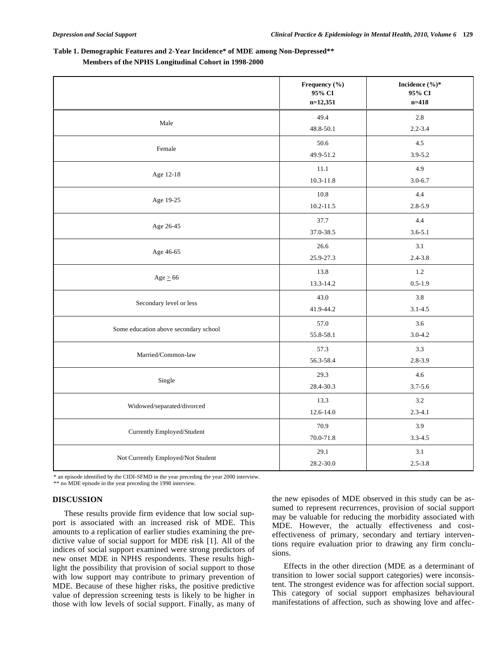# **Table 1. Demographic Features and 2-Year Incidence\* of MDE among Non-Depressed\*\* Members of the NPHS Longitudinal Cohort in 1998-2000**

|                                       | Frequency (%)<br>95% CI<br>$n=12,351$ | Incidence $(\%)^*$<br>95% CI<br>$n = 418$ |
|---------------------------------------|---------------------------------------|-------------------------------------------|
| Male                                  | 49.4                                  | 2.8                                       |
|                                       | 48.8-50.1                             | $2.2 - 3.4$                               |
| Female                                | 50.6                                  | 4.5                                       |
|                                       | 49.9-51.2                             | $3.9 - 5.2$                               |
| Age 12-18                             | 11.1                                  | 4.9                                       |
|                                       | $10.3 - 11.8$                         | $3.0 - 6.7$                               |
| Age 19-25                             | 10.8                                  | 4.4                                       |
|                                       | $10.2 - 11.5$                         | $2.8 - 5.9$                               |
|                                       | 37.7                                  | 4.4                                       |
| Age 26-45                             | 37.0-38.5                             | $3.6 - 5.1$                               |
|                                       | 26.6                                  | 3.1                                       |
| Age 46-65                             | 25.9-27.3                             | $2.4 - 3.8$                               |
|                                       | 13.8                                  | $1.2\,$                                   |
| $Age \geq 66$                         | 13.3-14.2                             | $0.5 - 1.9$                               |
|                                       | 43.0                                  | 3.8                                       |
| Secondary level or less               | 41.9-44.2                             | $3.1 - 4.5$                               |
|                                       | 57.0                                  | 3.6                                       |
| Some education above secondary school | 55.8-58.1                             | $3.0 - 4.2$                               |
|                                       | 57.3                                  | 3.3                                       |
| Married/Common-law                    | 56.3-58.4                             | $2.8 - 3.9$                               |
|                                       | 29.3                                  | 4.6                                       |
| Single                                | 28.4-30.3                             | $3.7 - 5.6$                               |
|                                       | 13.3                                  | 3.2                                       |
| Widowed/separated/divorced            | 12.6-14.0                             | $2.3 - 4.1$                               |
|                                       | 70.9                                  | 3.9                                       |
| Currently Employed/Student            | 70.0-71.8                             | $3.3 - 4.5$                               |
|                                       | 29.1                                  | 3.1                                       |
| Not Currently Employed/Not Student    | 28.2-30.0                             | $2.5 - 3.8$                               |

\* an episode identified by the CIDI-SFMD in the year preceding the year 2000 interview.

\*\* no MDE episode in the year preceding the 1998 interview.

# **DISCUSSION**

These results provide firm evidence that low social support is associated with an increased risk of MDE. This amounts to a replication of earlier studies examining the predictive value of social support for MDE risk [1]. All of the indices of social support examined were strong predictors of new onset MDE in NPHS respondents. These results highlight the possibility that provision of social support to those with low support may contribute to primary prevention of MDE. Because of these higher risks, the positive predictive value of depression screening tests is likely to be higher in those with low levels of social support. Finally, as many of the new episodes of MDE observed in this study can be assumed to represent recurrences, provision of social support may be valuable for reducing the morbidity associated with MDE. However, the actually effectiveness and costeffectiveness of primary, secondary and tertiary interventions require evaluation prior to drawing any firm conclusions.

Effects in the other direction (MDE as a determinant of transition to lower social support categories) were inconsistent. The strongest evidence was for affection social support. This category of social support emphasizes behavioural manifestations of affection, such as showing love and affec-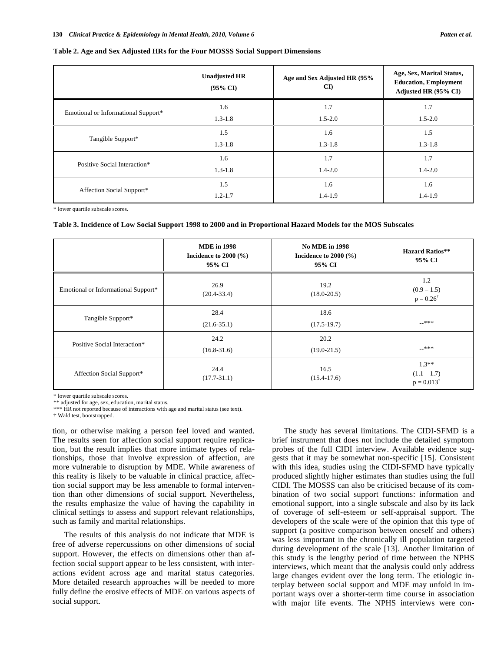### **Table 2. Age and Sex Adjusted HRs for the Four MOSSS Social Support Dimensions**

|                                     | <b>Unadjusted HR</b><br>$(95\% \text{ CI})$ | Age and Sex Adjusted HR (95%<br>$\mathbf{C}\mathbf{D}$ | Age, Sex, Marital Status,<br><b>Education, Employment</b><br>Adjusted HR (95% CI) |
|-------------------------------------|---------------------------------------------|--------------------------------------------------------|-----------------------------------------------------------------------------------|
| Emotional or Informational Support* | 1.6                                         | 1.7                                                    | 1.7                                                                               |
|                                     | $1.3 - 1.8$                                 | $1.5 - 2.0$                                            | $1.5 - 2.0$                                                                       |
| Tangible Support*                   | 1.5                                         | 1.6                                                    | 1.5                                                                               |
|                                     | $1.3 - 1.8$                                 | $1.3 - 1.8$                                            | $1.3 - 1.8$                                                                       |
| Positive Social Interaction*        | 1.6                                         | 1.7                                                    | 1.7                                                                               |
|                                     | $1.3 - 1.8$                                 | $1.4 - 2.0$                                            | $1.4 - 2.0$                                                                       |
| Affection Social Support*           | 1.5                                         | 1.6                                                    | 1.6                                                                               |
|                                     | $1.2 - 1.7$                                 | $1.4 - 1.9$                                            | $1.4 - 1.9$                                                                       |

\* lower quartile subscale scores.

**Table 3. Incidence of Low Social Support 1998 to 2000 and in Proportional Hazard Models for the MOS Subscales** 

|                                     | <b>MDE</b> in 1998<br>Incidence to $2000$ (%)<br>95% CI | <b>No MDE in 1998</b><br>Incidence to $2000$ (%)<br>95% CI | <b>Hazard Ratios**</b><br>95% CI                  |
|-------------------------------------|---------------------------------------------------------|------------------------------------------------------------|---------------------------------------------------|
| Emotional or Informational Support* | 26.9<br>$(20.4 - 33.4)$                                 | 19.2<br>$(18.0 - 20.5)$                                    | 1.2<br>$(0.9 - 1.5)$<br>$p = 0.26^{\dagger}$      |
| Tangible Support*                   | 28.4<br>$(21.6 - 35.1)$                                 | 18.6<br>$(17.5-19.7)$                                      | $-***$                                            |
| Positive Social Interaction*        | 24.2<br>$(16.8 - 31.6)$                                 | 20.2<br>$(19.0 - 21.5)$                                    | $-***$                                            |
| Affection Social Support*           | 24.4<br>$(17.7 - 31.1)$                                 | 16.5<br>$(15.4 - 17.6)$                                    | $1.3**$<br>$(1.1 - 1.7)$<br>$p = 0.013^{\dagger}$ |

\* lower quartile subscale scores.

\*\* adjusted for age, sex, education, marital status.

\*\*\* HR not reported because of interactions with age and marital status (see text).

† Wald test, bootstrapped.

tion, or otherwise making a person feel loved and wanted. The results seen for affection social support require replication, but the result implies that more intimate types of relationships, those that involve expression of affection, are more vulnerable to disruption by MDE. While awareness of this reality is likely to be valuable in clinical practice, affection social support may be less amenable to formal intervention than other dimensions of social support. Nevertheless, the results emphasize the value of having the capability in clinical settings to assess and support relevant relationships, such as family and marital relationships.

The results of this analysis do not indicate that MDE is free of adverse repercussions on other dimensions of social support. However, the effects on dimensions other than affection social support appear to be less consistent, with interactions evident across age and marital status categories. More detailed research approaches will be needed to more fully define the erosive effects of MDE on various aspects of social support.

The study has several limitations. The CIDI-SFMD is a brief instrument that does not include the detailed symptom probes of the full CIDI interview. Available evidence suggests that it may be somewhat non-specific [15]. Consistent with this idea, studies using the CIDI-SFMD have typically produced slightly higher estimates than studies using the full CIDI. The MOSSS can also be criticised because of its combination of two social support functions: information and emotional support, into a single subscale and also by its lack of coverage of self-esteem or self-appraisal support. The developers of the scale were of the opinion that this type of support (a positive comparison between oneself and others) was less important in the chronically ill population targeted during development of the scale [13]. Another limitation of this study is the lengthy period of time between the NPHS interviews, which meant that the analysis could only address large changes evident over the long term. The etiologic interplay between social support and MDE may unfold in important ways over a shorter-term time course in association with major life events. The NPHS interviews were con-